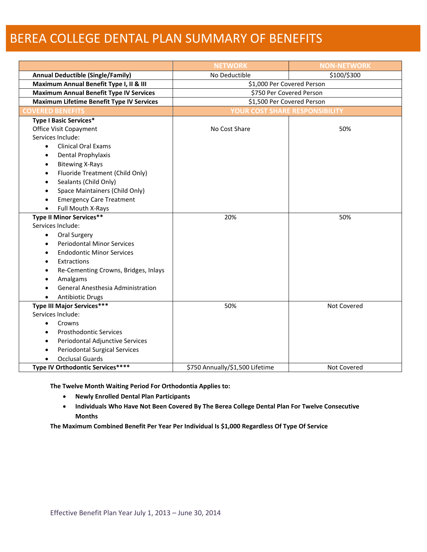## BEREA COLLEGE DENTAL PLAN SUMMARY OF BENEFITS

|                                                  | <b>NETWORK</b>                  | <b>NON-NETWORK</b> |
|--------------------------------------------------|---------------------------------|--------------------|
| <b>Annual Deductible (Single/Family)</b>         | No Deductible                   | \$100/\$300        |
| Maximum Annual Benefit Type I, II & III          | \$1,000 Per Covered Person      |                    |
| <b>Maximum Annual Benefit Type IV Services</b>   | \$750 Per Covered Person        |                    |
| <b>Maximum Lifetime Benefit Type IV Services</b> | \$1,500 Per Covered Person      |                    |
| <b>OVERED BENEFITS</b>                           | YOUR COST SHARE RESPONSIBILITY  |                    |
| <b>Type I Basic Services*</b>                    |                                 |                    |
| Office Visit Copayment                           | No Cost Share                   | 50%                |
| Services Include:                                |                                 |                    |
| <b>Clinical Oral Exams</b><br>$\bullet$          |                                 |                    |
| Dental Prophylaxis<br>$\bullet$                  |                                 |                    |
| <b>Bitewing X-Rays</b>                           |                                 |                    |
| Fluoride Treatment (Child Only)<br>$\bullet$     |                                 |                    |
| Sealants (Child Only)                            |                                 |                    |
| Space Maintainers (Child Only)                   |                                 |                    |
| <b>Emergency Care Treatment</b>                  |                                 |                    |
| Full Mouth X-Rays<br>$\bullet$                   |                                 |                    |
| <b>Type II Minor Services**</b>                  | 20%                             | 50%                |
| Services Include:                                |                                 |                    |
| Oral Surgery<br>$\bullet$                        |                                 |                    |
| <b>Periodontal Minor Services</b>                |                                 |                    |
| <b>Endodontic Minor Services</b><br>$\bullet$    |                                 |                    |
| Extractions                                      |                                 |                    |
| Re-Cementing Crowns, Bridges, Inlays             |                                 |                    |
| Amalgams                                         |                                 |                    |
| General Anesthesia Administration                |                                 |                    |
| <b>Antibiotic Drugs</b>                          |                                 |                    |
| <b>Type III Major Services***</b>                | 50%                             | Not Covered        |
| Services Include:                                |                                 |                    |
| Crowns                                           |                                 |                    |
| <b>Prosthodontic Services</b>                    |                                 |                    |
| Periodontal Adjunctive Services                  |                                 |                    |
| <b>Periodontal Surgical Services</b>             |                                 |                    |
| <b>Occlusal Guards</b>                           |                                 |                    |
| Type IV Orthodontic Services****                 | \$750 Annually/\$1,500 Lifetime | Not Covered        |

**The Twelve Month Waiting Period For Orthodontia Applies to:**

- **Newly Enrolled Dental Plan Participants**
- **Individuals Who Have Not Been Covered By The Berea College Dental Plan For Twelve Consecutive Months**

**The Maximum Combined Benefit Per Year Per Individual Is \$1,000 Regardless Of Type Of Service**